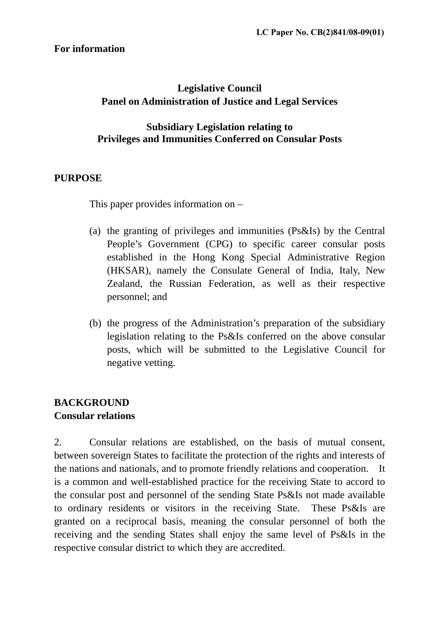## **For information**

# **Legislative Council Panel on Administration of Justice and Legal Services**

## **Subsidiary Legislation relating to Privileges and Immunities Conferred on Consular Posts**

## **PURPOSE**

This paper provides information on –

- (a) the granting of privileges and immunities (Ps&Is) by the Central People's Government (CPG) to specific career consular posts established in the Hong Kong Special Administrative Region (HKSAR), namely the Consulate General of India, Italy, New Zealand, the Russian Federation, as well as their respective personnel; and
- (b) the progress of the Administration's preparation of the subsidiary legislation relating to the Ps&Is conferred on the above consular posts, which will be submitted to the Legislative Council for negative vetting.

# **BACKGROUND Consular relations**

2. Consular relations are established, on the basis of mutual consent, between sovereign States to facilitate the protection of the rights and interests of the nations and nationals, and to promote friendly relations and cooperation. It is a common and well-established practice for the receiving State to accord to the consular post and personnel of the sending State Ps&Is not made available to ordinary residents or visitors in the receiving State. These Ps&Is are granted on a reciprocal basis, meaning the consular personnel of both the receiving and the sending States shall enjoy the same level of Ps&Is in the respective consular district to which they are accredited.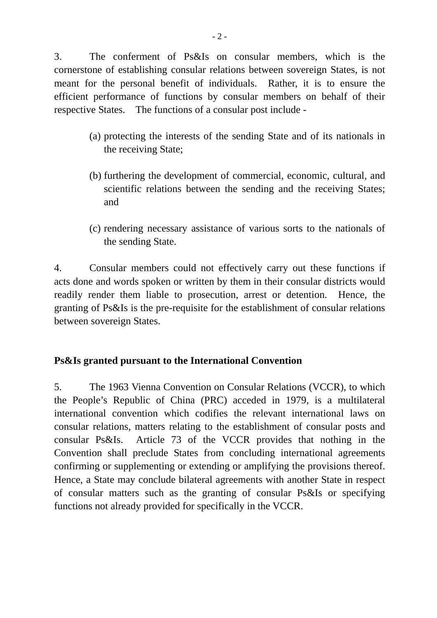3. The conferment of Ps&Is on consular members, which is the cornerstone of establishing consular relations between sovereign States, is not meant for the personal benefit of individuals. Rather, it is to ensure the efficient performance of functions by consular members on behalf of their respective States. The functions of a consular post include -

- (a) protecting the interests of the sending State and of its nationals in the receiving State;
- (b) furthering the development of commercial, economic, cultural, and scientific relations between the sending and the receiving States; and
- (c) rendering necessary assistance of various sorts to the nationals of the sending State.

4. Consular members could not effectively carry out these functions if acts done and words spoken or written by them in their consular districts would readily render them liable to prosecution, arrest or detention. Hence, the granting of Ps&Is is the pre-requisite for the establishment of consular relations between sovereign States.

## **Ps&Is granted pursuant to the International Convention**

5. The 1963 Vienna Convention on Consular Relations (VCCR), to which the People's Republic of China (PRC) acceded in 1979, is a multilateral international convention which codifies the relevant international laws on consular relations, matters relating to the establishment of consular posts and consular Ps&Is. Article 73 of the VCCR provides that nothing in the Convention shall preclude States from concluding international agreements confirming or supplementing or extending or amplifying the provisions thereof. Hence, a State may conclude bilateral agreements with another State in respect of consular matters such as the granting of consular Ps&Is or specifying functions not already provided for specifically in the VCCR.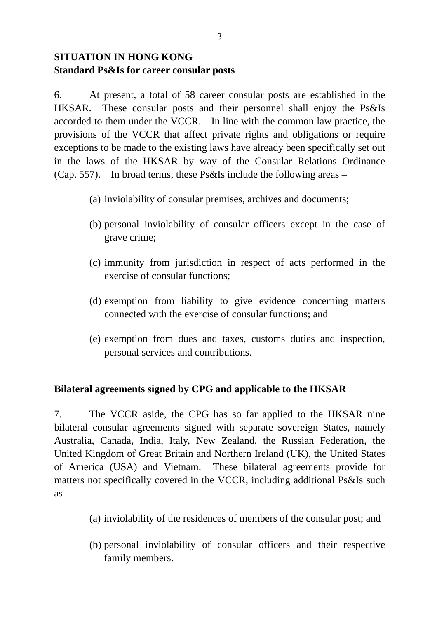# **SITUATION IN HONG KONG Standard Ps&Is for career consular posts**

6. At present, a total of 58 career consular posts are established in the HKSAR. These consular posts and their personnel shall enjoy the Ps&Is accorded to them under the VCCR. In line with the common law practice, the provisions of the VCCR that affect private rights and obligations or require exceptions to be made to the existing laws have already been specifically set out in the laws of the HKSAR by way of the Consular Relations Ordinance (Cap. 557). In broad terms, these Ps&Is include the following areas –

- (a) inviolability of consular premises, archives and documents;
- (b) personal inviolability of consular officers except in the case of grave crime;
- (c) immunity from jurisdiction in respect of acts performed in the exercise of consular functions;
- (d) exemption from liability to give evidence concerning matters connected with the exercise of consular functions; and
- (e) exemption from dues and taxes, customs duties and inspection, personal services and contributions.

## **Bilateral agreements signed by CPG and applicable to the HKSAR**

7. The VCCR aside, the CPG has so far applied to the HKSAR nine bilateral consular agreements signed with separate sovereign States, namely Australia, Canada, India, Italy, New Zealand, the Russian Federation, the United Kingdom of Great Britain and Northern Ireland (UK), the United States of America (USA) and Vietnam. These bilateral agreements provide for matters not specifically covered in the VCCR, including additional Ps&Is such  $as -$ 

- (a) inviolability of the residences of members of the consular post; and
- (b) personal inviolability of consular officers and their respective family members.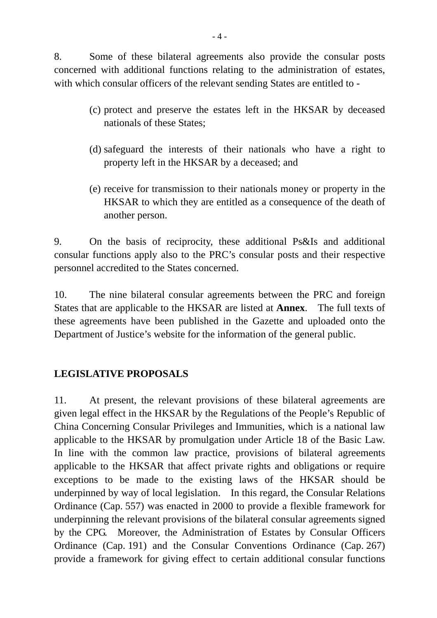8. Some of these bilateral agreements also provide the consular posts concerned with additional functions relating to the administration of estates, with which consular officers of the relevant sending States are entitled to -

- (c) protect and preserve the estates left in the HKSAR by deceased nationals of these States;
- (d) safeguard the interests of their nationals who have a right to property left in the HKSAR by a deceased; and
- (e) receive for transmission to their nationals money or property in the HKSAR to which they are entitled as a consequence of the death of another person.

9. On the basis of reciprocity, these additional Ps&Is and additional consular functions apply also to the PRC's consular posts and their respective personnel accredited to the States concerned.

10. The nine bilateral consular agreements between the PRC and foreign States that are applicable to the HKSAR are listed at **Annex**. The full texts of these agreements have been published in the Gazette and uploaded onto the Department of Justice's website for the information of the general public.

## **LEGISLATIVE PROPOSALS**

11. At present, the relevant provisions of these bilateral agreements are given legal effect in the HKSAR by the Regulations of the People's Republic of China Concerning Consular Privileges and Immunities, which is a national law applicable to the HKSAR by promulgation under Article 18 of the Basic Law. In line with the common law practice, provisions of bilateral agreements applicable to the HKSAR that affect private rights and obligations or require exceptions to be made to the existing laws of the HKSAR should be underpinned by way of local legislation. In this regard, the Consular Relations Ordinance (Cap. 557) was enacted in 2000 to provide a flexible framework for underpinning the relevant provisions of the bilateral consular agreements signed by the CPG. Moreover, the Administration of Estates by Consular Officers Ordinance (Cap. 191) and the Consular Conventions Ordinance (Cap. 267) provide a framework for giving effect to certain additional consular functions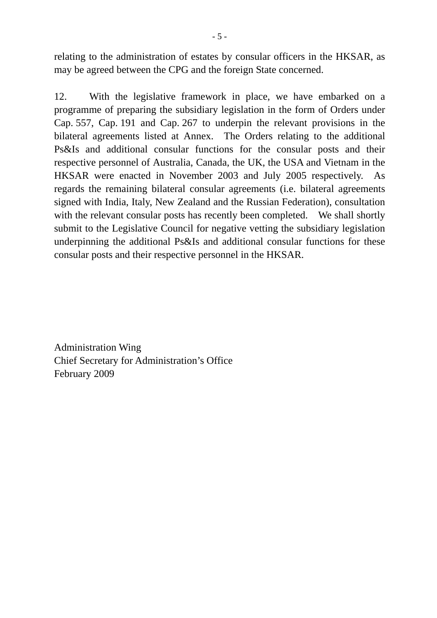relating to the administration of estates by consular officers in the HKSAR, as may be agreed between the CPG and the foreign State concerned.

12. With the legislative framework in place, we have embarked on a programme of preparing the subsidiary legislation in the form of Orders under Cap. 557, Cap. 191 and Cap. 267 to underpin the relevant provisions in the bilateral agreements listed at Annex. The Orders relating to the additional Ps&Is and additional consular functions for the consular posts and their respective personnel of Australia, Canada, the UK, the USA and Vietnam in the HKSAR were enacted in November 2003 and July 2005 respectively. As regards the remaining bilateral consular agreements (i.e. bilateral agreements signed with India, Italy, New Zealand and the Russian Federation), consultation with the relevant consular posts has recently been completed. We shall shortly submit to the Legislative Council for negative vetting the subsidiary legislation underpinning the additional Ps&Is and additional consular functions for these consular posts and their respective personnel in the HKSAR.

Administration Wing Chief Secretary for Administration's Office February 2009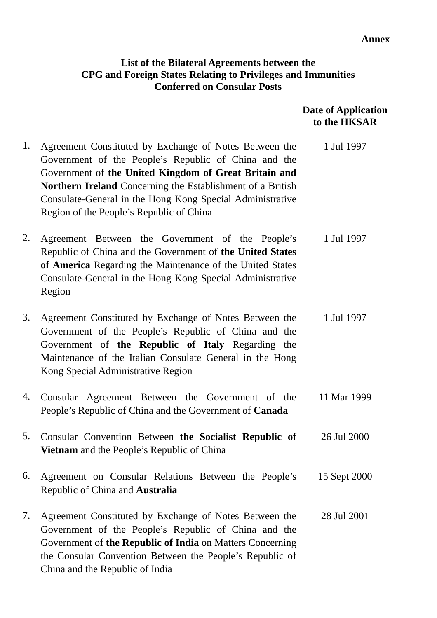#### **Annex**

## **List of the Bilateral Agreements between the CPG and Foreign States Relating to Privileges and Immunities Conferred on Consular Posts**

 **Date of Application to the HKSAR** 

1. Agreement Constituted by Exchange of Notes Between the Government of the People's Republic of China and the Government of **the United Kingdom of Great Britain and Northern Ireland** Concerning the Establishment of a British Consulate-General in the Hong Kong Special Administrative Region of the People's Republic of China 1 Jul 1997 2. Agreement Between the Government of the People's Republic of China and the Government of **the United States of America** Regarding the Maintenance of the United States Consulate-General in the Hong Kong Special Administrative Region 1 Jul 1997 3. Agreement Constituted by Exchange of Notes Between the Government of the People's Republic of China and the Government of **the Republic of Italy** Regarding the Maintenance of the Italian Consulate General in the Hong Kong Special Administrative Region 1 Jul 1997 4. Consular Agreement Between the Government of the People's Republic of China and the Government of **Canada**  11 Mar 1999 5. Consular Convention Between **the Socialist Republic of Vietnam** and the People's Republic of China 26 Jul 2000 6. Agreement on Consular Relations Between the People's Republic of China and **Australia**  15 Sept 2000 7. Agreement Constituted by Exchange of Notes Between the Government of the People's Republic of China and the Government of **the Republic of India** on Matters Concerning the Consular Convention Between the People's Republic of 28 Jul 2001

China and the Republic of India